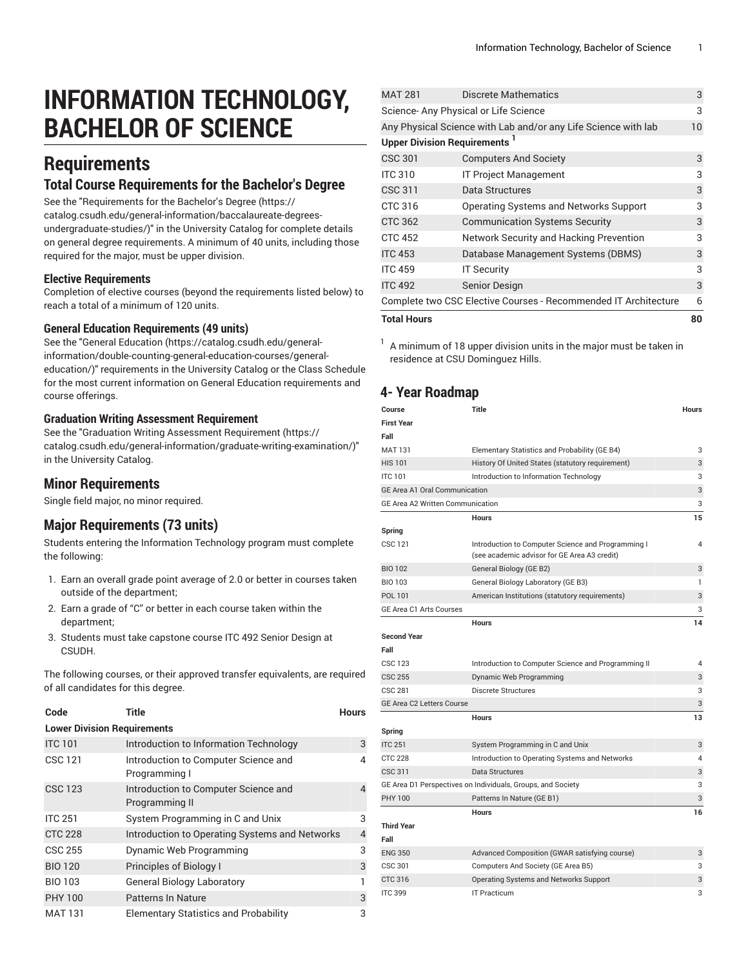# **INFORMATION TECHNOLOGY, BACHELOR OF SCIENCE**

# **Requirements**

### **Total Course Requirements for the Bachelor's Degree**

See the "[Requirements](https://catalog.csudh.edu/general-information/baccalaureate-degrees-undergraduate-studies/) for the Bachelor's Degree [\(https://](https://catalog.csudh.edu/general-information/baccalaureate-degrees-undergraduate-studies/) [catalog.csudh.edu/general-information/baccalaureate-degrees](https://catalog.csudh.edu/general-information/baccalaureate-degrees-undergraduate-studies/)[undergraduate-studies/\)](https://catalog.csudh.edu/general-information/baccalaureate-degrees-undergraduate-studies/)" in the University Catalog for complete details on general degree requirements. A minimum of 40 units, including those required for the major, must be upper division.

#### **Elective Requirements**

Completion of elective courses (beyond the requirements listed below) to reach a total of a minimum of 120 units.

#### **General Education Requirements (49 units)**

See the "General [Education](https://catalog.csudh.edu/general-information/double-counting-general-education-courses/general-education/) ([https://catalog.csudh.edu/general](https://catalog.csudh.edu/general-information/double-counting-general-education-courses/general-education/)[information/double-counting-general-education-courses/general](https://catalog.csudh.edu/general-information/double-counting-general-education-courses/general-education/)[education/](https://catalog.csudh.edu/general-information/double-counting-general-education-courses/general-education/))" requirements in the University Catalog or the Class Schedule for the most current information on General Education requirements and course offerings.

#### **Graduation Writing Assessment Requirement**

See the "Graduation Writing Assessment [Requirement \(https://](https://catalog.csudh.edu/general-information/graduate-writing-examination/) [catalog.csudh.edu/general-information/graduate-writing-examination/\)](https://catalog.csudh.edu/general-information/graduate-writing-examination/)" in the University Catalog.

#### **Minor Requirements**

Single field major, no minor required.

#### **Major Requirements (73 units)**

Students entering the Information Technology program must complete the following:

- 1. Earn an overall grade point average of 2.0 or better in courses taken outside of the department;
- 2. Earn a grade of "C" or better in each course taken within the department;
- 3. Students must take capstone course ITC 492 Senior Design at CSUDH.

The following courses, or their approved transfer equivalents, are required of all candidates for this degree.

| Code                               | <b>Title</b>                                           | <b>Hours</b>   |  |  |  |
|------------------------------------|--------------------------------------------------------|----------------|--|--|--|
| <b>Lower Division Requirements</b> |                                                        |                |  |  |  |
| <b>ITC 101</b>                     | Introduction to Information Technology                 | 3              |  |  |  |
| <b>CSC 121</b>                     | Introduction to Computer Science and<br>Programming I  | 4              |  |  |  |
| <b>CSC 123</b>                     | Introduction to Computer Science and<br>Programming II | 4              |  |  |  |
| <b>ITC 251</b>                     | System Programming in C and Unix                       | 3              |  |  |  |
| <b>CTC 228</b>                     | Introduction to Operating Systems and Networks         | $\overline{4}$ |  |  |  |
| <b>CSC 255</b>                     | Dynamic Web Programming                                | 3              |  |  |  |
| <b>BIO 120</b>                     | Principles of Biology I                                | 3              |  |  |  |
| <b>BIO 103</b>                     | <b>General Biology Laboratory</b>                      | 1              |  |  |  |
| <b>PHY 100</b>                     | Patterns In Nature                                     | 3              |  |  |  |
| <b>MAT 131</b>                     | <b>Elementary Statistics and Probability</b>           | 3              |  |  |  |

| <b>Total Hours</b>                                              |                                                                |    |
|-----------------------------------------------------------------|----------------------------------------------------------------|----|
| Complete two CSC Elective Courses - Recommended IT Architecture |                                                                | 6  |
| <b>ITC 492</b>                                                  | Senior Design                                                  | 3  |
| <b>ITC 459</b>                                                  | <b>IT Security</b>                                             | 3  |
| <b>ITC 453</b>                                                  | Database Management Systems (DBMS)                             | 3  |
| <b>CTC 452</b>                                                  | Network Security and Hacking Prevention                        | 3  |
| <b>CTC 362</b>                                                  | <b>Communication Systems Security</b>                          | 3  |
| CTC 316                                                         | Operating Systems and Networks Support                         | 3  |
| CSC 311                                                         | Data Structures                                                | 3  |
| <b>ITC 310</b>                                                  | <b>IT Project Management</b>                                   | 3  |
| <b>CSC 301</b>                                                  | <b>Computers And Society</b>                                   | 3  |
| <b>Upper Division Requirements</b>                              |                                                                |    |
|                                                                 | Any Physical Science with Lab and/or any Life Science with lab | 10 |
| Science-Any Physical or Life Science                            |                                                                |    |
| <b>MAT 281</b>                                                  | Discrete Mathematics                                           | 3  |

1 A minimum of 18 upper division units in the major must be taken in residence at CSU Dominguez Hills.

## **4- Year Roadmap**

| Course                                  | <b>Title</b>                                                                                       | Hours        |
|-----------------------------------------|----------------------------------------------------------------------------------------------------|--------------|
| <b>First Year</b>                       |                                                                                                    |              |
| Fall                                    |                                                                                                    |              |
| <b>MAT 131</b>                          | Elementary Statistics and Probability (GE B4)                                                      | 3            |
| <b>HIS 101</b>                          | History Of United States (statutory requirement)                                                   | 3            |
| <b>ITC 101</b>                          | Introduction to Information Technology                                                             | 3            |
| <b>GE Area A1 Oral Communication</b>    |                                                                                                    | 3            |
| <b>GE Area A2 Written Communication</b> |                                                                                                    | 3            |
|                                         | <b>Hours</b>                                                                                       | 15           |
| Spring                                  |                                                                                                    |              |
| <b>CSC 121</b>                          | Introduction to Computer Science and Programming I<br>(see academic advisor for GE Area A3 credit) | 4            |
| <b>BIO 102</b>                          | General Biology (GE B2)                                                                            | 3            |
| <b>BIO 103</b>                          | General Biology Laboratory (GE B3)                                                                 | $\mathbf{1}$ |
| POL 101                                 | American Institutions (statutory requirements)                                                     | 3            |
| GE Area C1 Arts Courses                 |                                                                                                    | 3            |
|                                         | <b>Hours</b>                                                                                       | 14           |
| <b>Second Year</b>                      |                                                                                                    |              |
| Fall                                    |                                                                                                    |              |
| <b>CSC 123</b>                          | Introduction to Computer Science and Programming II                                                | 4            |
| <b>CSC 255</b>                          | Dynamic Web Programming                                                                            | 3            |
| <b>CSC 281</b>                          | <b>Discrete Structures</b>                                                                         | 3            |
| <b>GE Area C2 Letters Course</b>        |                                                                                                    | 3            |
|                                         | <b>Hours</b>                                                                                       | 13           |
| Spring                                  |                                                                                                    |              |
| <b>ITC 251</b>                          | System Programming in C and Unix                                                                   | 3            |
| <b>CTC 228</b>                          | Introduction to Operating Systems and Networks                                                     | 4            |
| CSC 311                                 | Data Structures                                                                                    | 3            |
|                                         | GE Area D1 Perspectives on Individuals, Groups, and Society                                        | 3            |
| <b>PHY 100</b>                          | Patterns In Nature (GE B1)                                                                         | 3            |
|                                         | <b>Hours</b>                                                                                       | 16           |
| <b>Third Year</b><br>Fall               |                                                                                                    |              |
| <b>ENG 350</b>                          | Advanced Composition (GWAR satisfying course)                                                      | 3            |
| <b>CSC 301</b>                          | Computers And Society (GE Area B5)                                                                 | 3            |
| CTC 316                                 | Operating Systems and Networks Support                                                             | 3            |
| <b>ITC 399</b>                          | <b>IT Practicum</b>                                                                                | 3            |